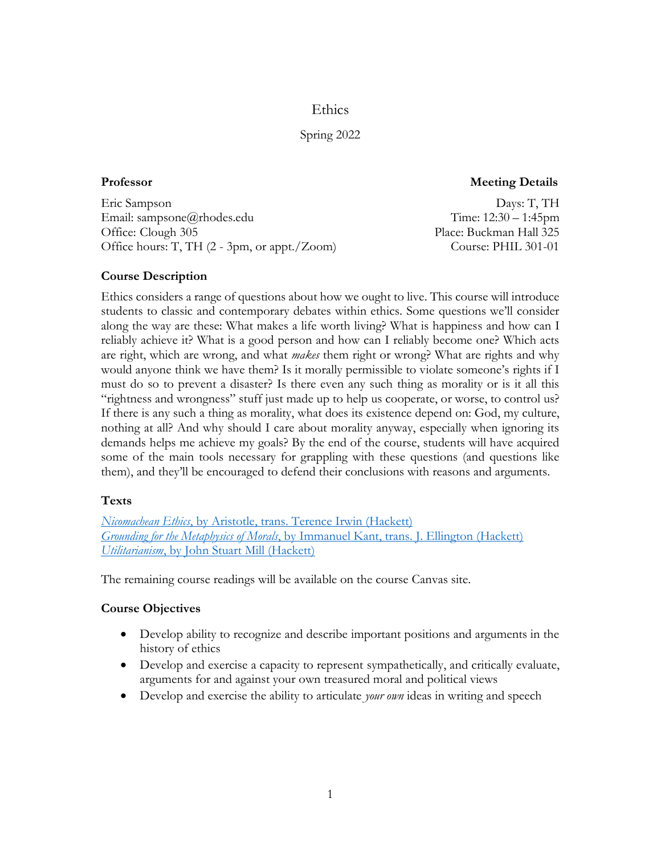Ethics

# Spring 2022

**Professor Meeting Details**

Eric Sampson Days: T, TH Email: sampsone@rhodes.edu Time: 12:30 – 1:45pm Office: Clough 305 **Place: Buckman Hall 325** Office hours: T, TH (2 - 3pm, or appt./Zoom) Course: PHIL 301-01

# **Course Description**

Ethics considers a range of questions about how we ought to live. This course will introduce students to classic and contemporary debates within ethics. Some questions we'll consider along the way are these: What makes a life worth living? What is happiness and how can I reliably achieve it? What is a good person and how can I reliably become one? Which acts are right, which are wrong, and what *makes* them right or wrong? What are rights and why would anyone think we have them? Is it morally permissible to violate someone's rights if I must do so to prevent a disaster? Is there even any such thing as morality or is it all this "rightness and wrongness" stuff just made up to help us cooperate, or worse, to control us? If there is any such a thing as morality, what does its existence depend on: God, my culture, nothing at all? And why should I care about morality anyway, especially when ignoring its demands helps me achieve my goals? By the end of the course, students will have acquired some of the main tools necessary for grappling with these questions (and questions like them), and they'll be encouraged to defend their conclusions with reasons and arguments.

# **Texts**

*Nicomachean Ethics*[, by Aristotle, trans. Terence Irwin \(Hackett\)](https://www.amazon.com/Nicomachean-Ethics-Aristotle/dp/0872204642) *Grounding for the Metaphysics of Morals*[, by Immanuel Kant, trans. J. Ellington \(Hackett\)](https://www.amazon.com/Grounding-Metaphysics-Morals-Supposed-Philanthropic/dp/087220166X) *Utilitarianism*[, by John Stuart Mill \(Hackett\)](https://www.amazon.com/Utilitarianism-John-Stuart-Mill/dp/087220605X/ref=pd_bxgy_img_1/139-4183314-2151641?pd_rd_w=oiDQQ&pf_rd_p=c64372fa-c41c-422e-990d-9e034f73989b&pf_rd_r=H69JWYSNFF3YS19EQTVK&pd_rd_r=21209720-9175-4c36-9425-ea4305a078f7&pd_rd_wg=uz4n4&pd_rd_i=087220605X&psc=1)

The remaining course readings will be available on the course Canvas site.

# **Course Objectives**

- Develop ability to recognize and describe important positions and arguments in the history of ethics
- Develop and exercise a capacity to represent sympathetically, and critically evaluate, arguments for and against your own treasured moral and political views
- Develop and exercise the ability to articulate *your own* ideas in writing and speech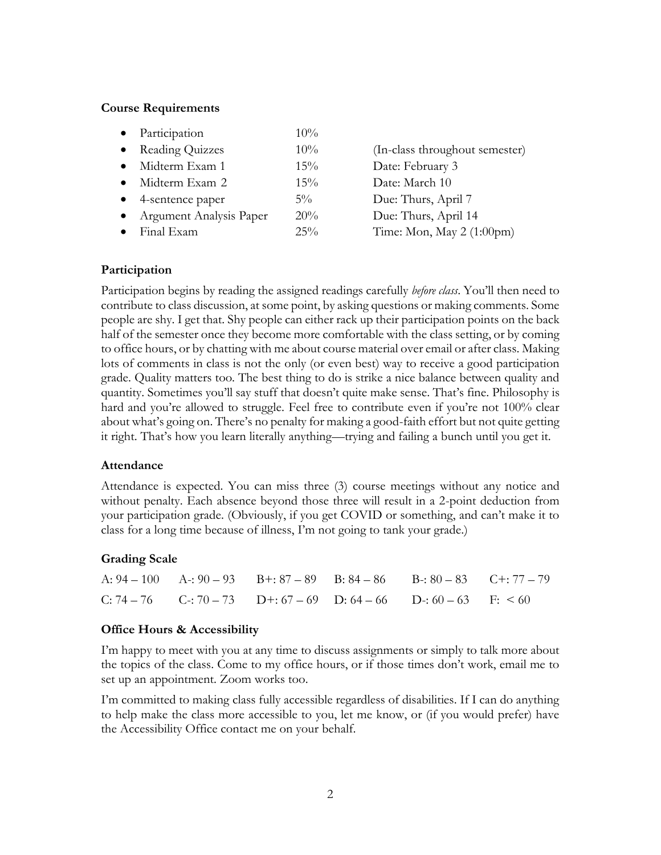### **Course Requirements**

|           | Participation           | 10%    |                                |
|-----------|-------------------------|--------|--------------------------------|
|           | • Reading Quizzes       | $10\%$ | (In-class throughout semester) |
|           | Midterm Exam 1          | $15\%$ | Date: February 3               |
|           | Midterm Exam 2          | 15%    | Date: March 10                 |
|           | 4-sentence paper        | $5\%$  | Due: Thurs, April 7            |
| $\bullet$ | Argument Analysis Paper | 20%    | Due: Thurs, April 14           |
|           | Final Exam              | $25\%$ | Time: Mon, May 2 (1:00pm)      |

## **Participation**

Participation begins by reading the assigned readings carefully *before class*. You'll then need to contribute to class discussion, at some point, by asking questions or making comments. Some people are shy. I get that. Shy people can either rack up their participation points on the back half of the semester once they become more comfortable with the class setting, or by coming to office hours, or by chatting with me about course material over email or after class. Making lots of comments in class is not the only (or even best) way to receive a good participation grade. Quality matters too. The best thing to do is strike a nice balance between quality and quantity. Sometimes you'll say stuff that doesn't quite make sense. That's fine. Philosophy is hard and you're allowed to struggle. Feel free to contribute even if you're not 100% clear about what's going on. There's no penalty for making a good-faith effort but not quite getting it right. That's how you learn literally anything—trying and failing a bunch until you get it.

#### **Attendance**

Attendance is expected. You can miss three (3) course meetings without any notice and without penalty. Each absence beyond those three will result in a 2-point deduction from your participation grade. (Obviously, if you get COVID or something, and can't make it to class for a long time because of illness, I'm not going to tank your grade.)

## **Grading Scale**

|  | A: $94-100$ A: $90-93$ B+: $87-89$ B: $84-86$ B: $80-83$ C+: $77-79$ |  |  |
|--|----------------------------------------------------------------------|--|--|
|  | C: 74 – 76 C: 70 – 73 D+: 67 – 69 D: 64 – 66 D: 60 – 63 F: $\leq 60$ |  |  |

## **Office Hours & Accessibility**

I'm happy to meet with you at any time to discuss assignments or simply to talk more about the topics of the class. Come to my office hours, or if those times don't work, email me to set up an appointment. Zoom works too.

I'm committed to making class fully accessible regardless of disabilities. If I can do anything to help make the class more accessible to you, let me know, or (if you would prefer) have the Accessibility Office contact me on your behalf.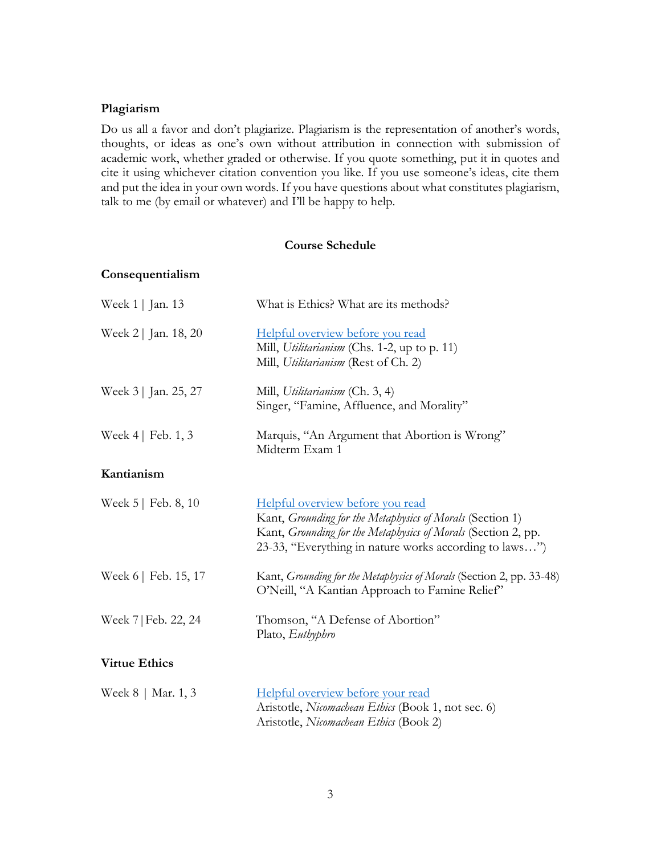# **Plagiarism**

Do us all a favor and don't plagiarize. Plagiarism is the representation of another's words, thoughts, or ideas as one's own without attribution in connection with submission of academic work, whether graded or otherwise. If you quote something, put it in quotes and cite it using whichever citation convention you like. If you use someone's ideas, cite them and put the idea in your own words. If you have questions about what constitutes plagiarism, talk to me (by email or whatever) and I'll be happy to help.

## **Course Schedule**

## **Consequentialism**

| Week 1   Jan. 13        | What is Ethics? What are its methods?                                                                                                                                                                                    |
|-------------------------|--------------------------------------------------------------------------------------------------------------------------------------------------------------------------------------------------------------------------|
| Week 2   Jan. 18, 20    | Helpful overview before you read<br>Mill, Utilitarianism (Chs. 1-2, up to p. 11)<br>Mill, Utilitarianism (Rest of Ch. 2)                                                                                                 |
| Week 3   Jan. 25, 27    | Mill, Utilitarianism (Ch. 3, 4)<br>Singer, "Famine, Affluence, and Morality"                                                                                                                                             |
| Week $4 \mid$ Feb. 1, 3 | Marquis, "An Argument that Abortion is Wrong"<br>Midterm Exam 1                                                                                                                                                          |
| Kantianism              |                                                                                                                                                                                                                          |
| Week $5$   Feb. 8, 10   | Helpful overview before you read<br>Kant, Grounding for the Metaphysics of Morals (Section 1)<br>Kant, Grounding for the Metaphysics of Morals (Section 2, pp.<br>23-33, "Everything in nature works according to laws") |
| Week 6   Feb. 15, 17    | Kant, Grounding for the Metaphysics of Morals (Section 2, pp. 33-48)<br>O'Neill, "A Kantian Approach to Famine Relief"                                                                                                   |
| Week 7   Feb. 22, 24    | Thomson, "A Defense of Abortion"<br>Plato, Euthyphro                                                                                                                                                                     |
| <b>Virtue Ethics</b>    |                                                                                                                                                                                                                          |
| Week $8 \mid$ Mar. 1, 3 | Helpful overview before your read<br>Aristotle, Nicomachean Ethics (Book 1, not sec. 6)                                                                                                                                  |